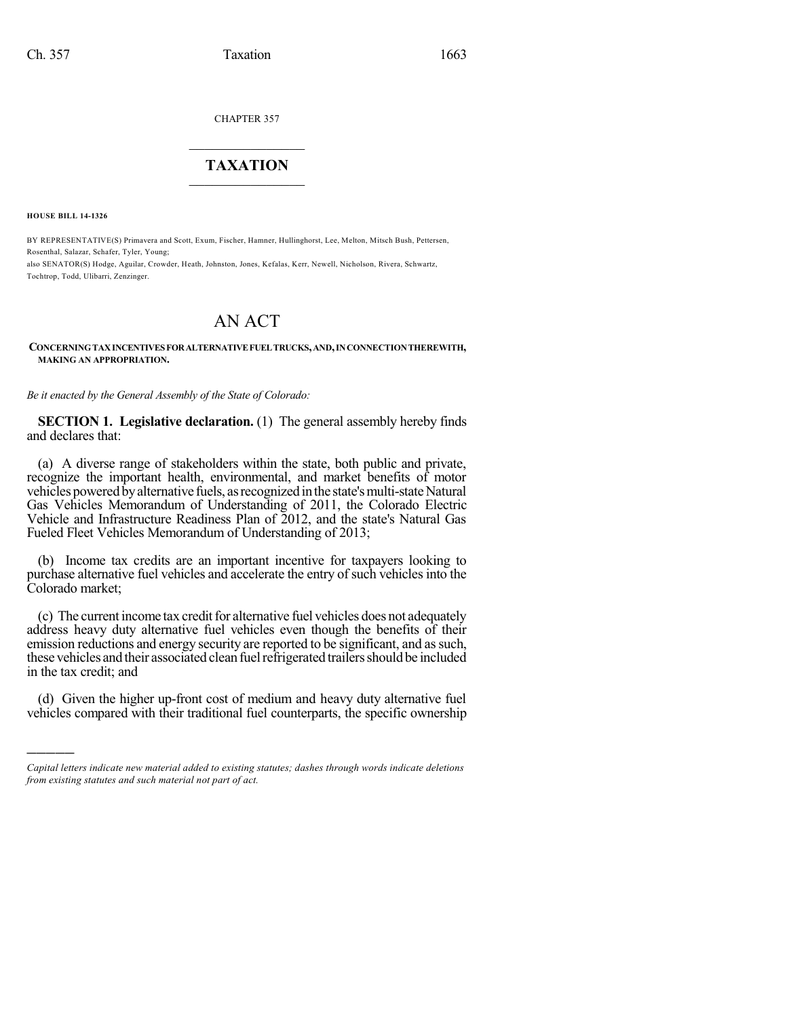CHAPTER 357

## $\mathcal{L}_\text{max}$  . The set of the set of the set of the set of the set of the set of the set of the set of the set of the set of the set of the set of the set of the set of the set of the set of the set of the set of the set **TAXATION**  $\_$

**HOUSE BILL 14-1326**

)))))

BY REPRESENTATIVE(S) Primavera and Scott, Exum, Fischer, Hamner, Hullinghorst, Lee, Melton, Mitsch Bush, Pettersen, Rosenthal, Salazar, Schafer, Tyler, Young;

also SENATOR(S) Hodge, Aguilar, Crowder, Heath, Johnston, Jones, Kefalas, Kerr, Newell, Nicholson, Rivera, Schwartz, Tochtrop, Todd, Ulibarri, Zenzinger.

# AN ACT

#### **CONCERNINGTAXINCENTIVESFORALTERNATIVEFUELTRUCKS,AND,INCONNECTIONTHEREWITH, MAKING AN APPROPRIATION.**

*Be it enacted by the General Assembly of the State of Colorado:*

**SECTION 1. Legislative declaration.** (1) The general assembly hereby finds and declares that:

(a) A diverse range of stakeholders within the state, both public and private, recognize the important health, environmental, and market benefits of motor vehicles powered byalternative fuels, asrecognizedinthe state'smulti-stateNatural Gas Vehicles Memorandum of Understanding of 2011, the Colorado Electric Vehicle and Infrastructure Readiness Plan of 2012, and the state's Natural Gas Fueled Fleet Vehicles Memorandum of Understanding of 2013;

(b) Income tax credits are an important incentive for taxpayers looking to purchase alternative fuel vehicles and accelerate the entry of such vehicles into the Colorado market;

(c) The current income tax credit for alternative fuel vehicles does not adequately address heavy duty alternative fuel vehicles even though the benefits of their emission reductions and energy security are reported to be significant, and as such, these vehicles and their associated clean fuel refrigerated trailers should be included in the tax credit; and

(d) Given the higher up-front cost of medium and heavy duty alternative fuel vehicles compared with their traditional fuel counterparts, the specific ownership

*Capital letters indicate new material added to existing statutes; dashes through words indicate deletions from existing statutes and such material not part of act.*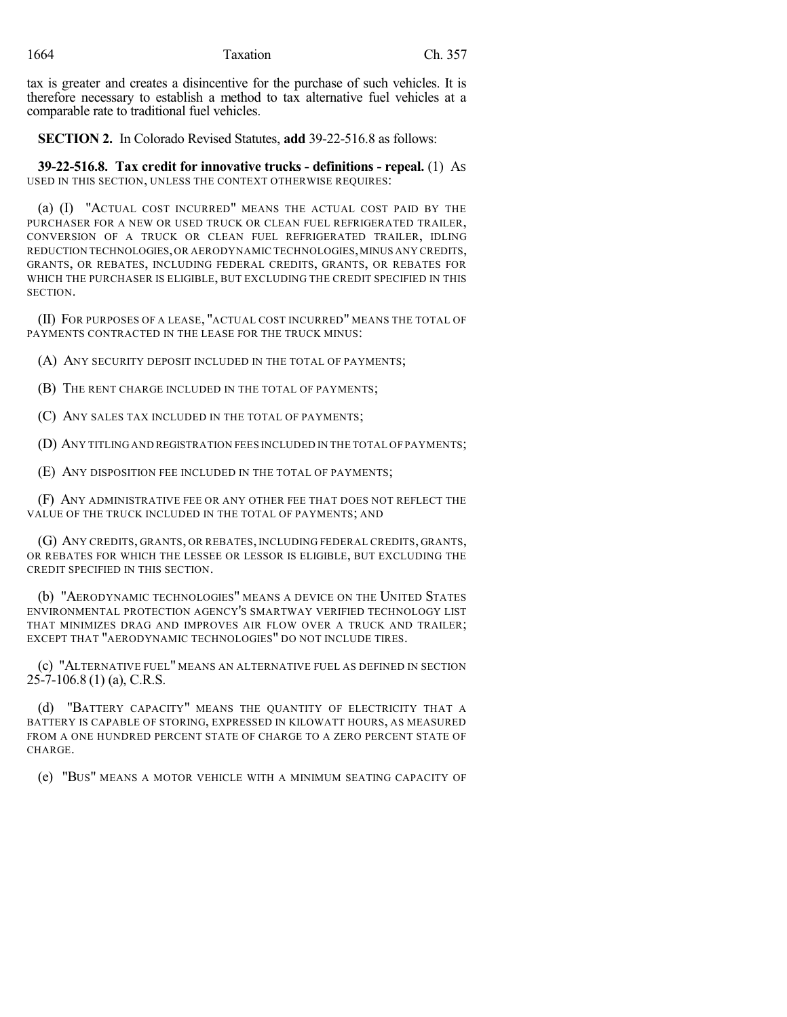tax is greater and creates a disincentive for the purchase of such vehicles. It is therefore necessary to establish a method to tax alternative fuel vehicles at a comparable rate to traditional fuel vehicles.

**SECTION 2.** In Colorado Revised Statutes, **add** 39-22-516.8 as follows:

**39-22-516.8. Tax credit for innovative trucks - definitions - repeal.** (1) AS USED IN THIS SECTION, UNLESS THE CONTEXT OTHERWISE REQUIRES:

(a) (I) "ACTUAL COST INCURRED" MEANS THE ACTUAL COST PAID BY THE PURCHASER FOR A NEW OR USED TRUCK OR CLEAN FUEL REFRIGERATED TRAILER, CONVERSION OF A TRUCK OR CLEAN FUEL REFRIGERATED TRAILER, IDLING REDUCTION TECHNOLOGIES,OR AERODYNAMIC TECHNOLOGIES,MINUS ANY CREDITS, GRANTS, OR REBATES, INCLUDING FEDERAL CREDITS, GRANTS, OR REBATES FOR WHICH THE PURCHASER IS ELIGIBLE, BUT EXCLUDING THE CREDIT SPECIFIED IN THIS SECTION.

(II) FOR PURPOSES OF A LEASE, "ACTUAL COST INCURRED" MEANS THE TOTAL OF PAYMENTS CONTRACTED IN THE LEASE FOR THE TRUCK MINUS:

(A) ANY SECURITY DEPOSIT INCLUDED IN THE TOTAL OF PAYMENTS;

(B) THE RENT CHARGE INCLUDED IN THE TOTAL OF PAYMENTS;

(C) ANY SALES TAX INCLUDED IN THE TOTAL OF PAYMENTS;

(D) ANY TITLING AND REGISTRATION FEES INCLUDED IN THE TOTAL OF PAYMENTS;

(E) ANY DISPOSITION FEE INCLUDED IN THE TOTAL OF PAYMENTS;

(F) ANY ADMINISTRATIVE FEE OR ANY OTHER FEE THAT DOES NOT REFLECT THE VALUE OF THE TRUCK INCLUDED IN THE TOTAL OF PAYMENTS; AND

(G) ANY CREDITS, GRANTS, OR REBATES, INCLUDING FEDERAL CREDITS, GRANTS, OR REBATES FOR WHICH THE LESSEE OR LESSOR IS ELIGIBLE, BUT EXCLUDING THE CREDIT SPECIFIED IN THIS SECTION.

(b) "AERODYNAMIC TECHNOLOGIES" MEANS A DEVICE ON THE UNITED STATES ENVIRONMENTAL PROTECTION AGENCY'S SMARTWAY VERIFIED TECHNOLOGY LIST THAT MINIMIZES DRAG AND IMPROVES AIR FLOW OVER A TRUCK AND TRAILER; EXCEPT THAT "AERODYNAMIC TECHNOLOGIES" DO NOT INCLUDE TIRES.

(c) "ALTERNATIVE FUEL" MEANS AN ALTERNATIVE FUEL AS DEFINED IN SECTION 25-7-106.8 (1) (a), C.R.S.

(d) "BATTERY CAPACITY" MEANS THE QUANTITY OF ELECTRICITY THAT A BATTERY IS CAPABLE OF STORING, EXPRESSED IN KILOWATT HOURS, AS MEASURED FROM A ONE HUNDRED PERCENT STATE OF CHARGE TO A ZERO PERCENT STATE OF CHARGE.

(e) "BUS" MEANS A MOTOR VEHICLE WITH A MINIMUM SEATING CAPACITY OF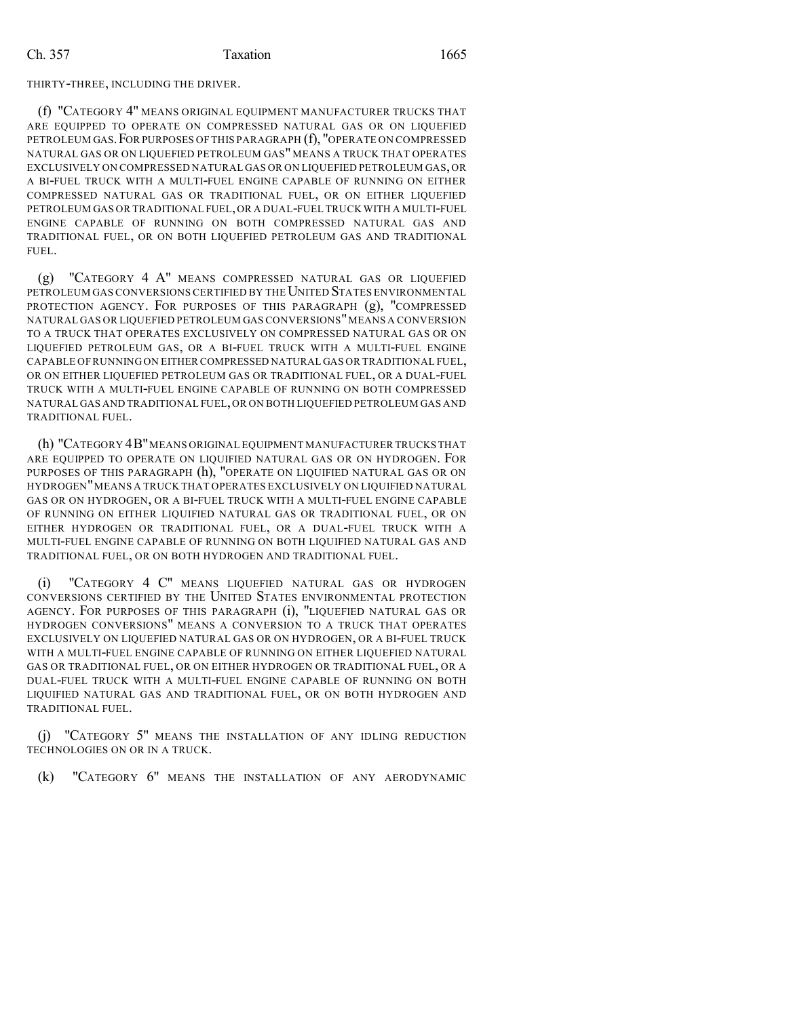#### THIRTY-THREE, INCLUDING THE DRIVER.

(f) "CATEGORY 4" MEANS ORIGINAL EQUIPMENT MANUFACTURER TRUCKS THAT ARE EQUIPPED TO OPERATE ON COMPRESSED NATURAL GAS OR ON LIQUEFIED PETROLEUM GAS.FOR PURPOSES OF THIS PARAGRAPH (f), "OPERATE ON COMPRESSED NATURAL GAS OR ON LIQUEFIED PETROLEUM GAS" MEANS A TRUCK THAT OPERATES EXCLUSIVELY ON COMPRESSED NATURAL GAS OR ON LIQUEFIED PETROLEUM GAS,OR A BI-FUEL TRUCK WITH A MULTI-FUEL ENGINE CAPABLE OF RUNNING ON EITHER COMPRESSED NATURAL GAS OR TRADITIONAL FUEL, OR ON EITHER LIQUEFIED PETROLEUM GAS OR TRADITIONAL FUEL,OR A DUAL-FUEL TRUCK WITH A MULTI-FUEL ENGINE CAPABLE OF RUNNING ON BOTH COMPRESSED NATURAL GAS AND TRADITIONAL FUEL, OR ON BOTH LIQUEFIED PETROLEUM GAS AND TRADITIONAL FUEL.

(g) "CATEGORY 4 A" MEANS COMPRESSED NATURAL GAS OR LIQUEFIED PETROLEUM GAS CONVERSIONS CERTIFIED BY THE UNITED STATES ENVIRONMENTAL PROTECTION AGENCY. FOR PURPOSES OF THIS PARAGRAPH (g), "COMPRESSED NATURAL GAS OR LIQUEFIED PETROLEUM GAS CONVERSIONS"MEANS A CONVERSION TO A TRUCK THAT OPERATES EXCLUSIVELY ON COMPRESSED NATURAL GAS OR ON LIQUEFIED PETROLEUM GAS, OR A BI-FUEL TRUCK WITH A MULTI-FUEL ENGINE CAPABLE OF RUNNING ON EITHER COMPRESSED NATURAL GAS OR TRADITIONAL FUEL, OR ON EITHER LIQUEFIED PETROLEUM GAS OR TRADITIONAL FUEL, OR A DUAL-FUEL TRUCK WITH A MULTI-FUEL ENGINE CAPABLE OF RUNNING ON BOTH COMPRESSED NATURAL GAS AND TRADITIONAL FUEL,OR ON BOTH LIQUEFIED PETROLEUM GAS AND TRADITIONAL FUEL.

(h) "CATEGORY 4B" MEANS ORIGINAL EQUIPMENT MANUFACTURER TRUCKS THAT ARE EQUIPPED TO OPERATE ON LIQUIFIED NATURAL GAS OR ON HYDROGEN. FOR PURPOSES OF THIS PARAGRAPH (h), "OPERATE ON LIQUIFIED NATURAL GAS OR ON HYDROGEN"MEANS A TRUCK THAT OPERATES EXCLUSIVELY ON LIQUIFIED NATURAL GAS OR ON HYDROGEN, OR A BI-FUEL TRUCK WITH A MULTI-FUEL ENGINE CAPABLE OF RUNNING ON EITHER LIQUIFIED NATURAL GAS OR TRADITIONAL FUEL, OR ON EITHER HYDROGEN OR TRADITIONAL FUEL, OR A DUAL-FUEL TRUCK WITH A MULTI-FUEL ENGINE CAPABLE OF RUNNING ON BOTH LIQUIFIED NATURAL GAS AND TRADITIONAL FUEL, OR ON BOTH HYDROGEN AND TRADITIONAL FUEL.

"CATEGORY 4 C" MEANS LIQUEFIED NATURAL GAS OR HYDROGEN CONVERSIONS CERTIFIED BY THE UNITED STATES ENVIRONMENTAL PROTECTION AGENCY. FOR PURPOSES OF THIS PARAGRAPH (i), "LIQUEFIED NATURAL GAS OR HYDROGEN CONVERSIONS" MEANS A CONVERSION TO A TRUCK THAT OPERATES EXCLUSIVELY ON LIQUEFIED NATURAL GAS OR ON HYDROGEN, OR A BI-FUEL TRUCK WITH A MULTI-FUEL ENGINE CAPABLE OF RUNNING ON EITHER LIQUEFIED NATURAL GAS OR TRADITIONAL FUEL, OR ON EITHER HYDROGEN OR TRADITIONAL FUEL, OR A DUAL-FUEL TRUCK WITH A MULTI-FUEL ENGINE CAPABLE OF RUNNING ON BOTH LIQUIFIED NATURAL GAS AND TRADITIONAL FUEL, OR ON BOTH HYDROGEN AND TRADITIONAL FUEL.

(j) "CATEGORY 5" MEANS THE INSTALLATION OF ANY IDLING REDUCTION TECHNOLOGIES ON OR IN A TRUCK.

(k) "CATEGORY 6" MEANS THE INSTALLATION OF ANY AERODYNAMIC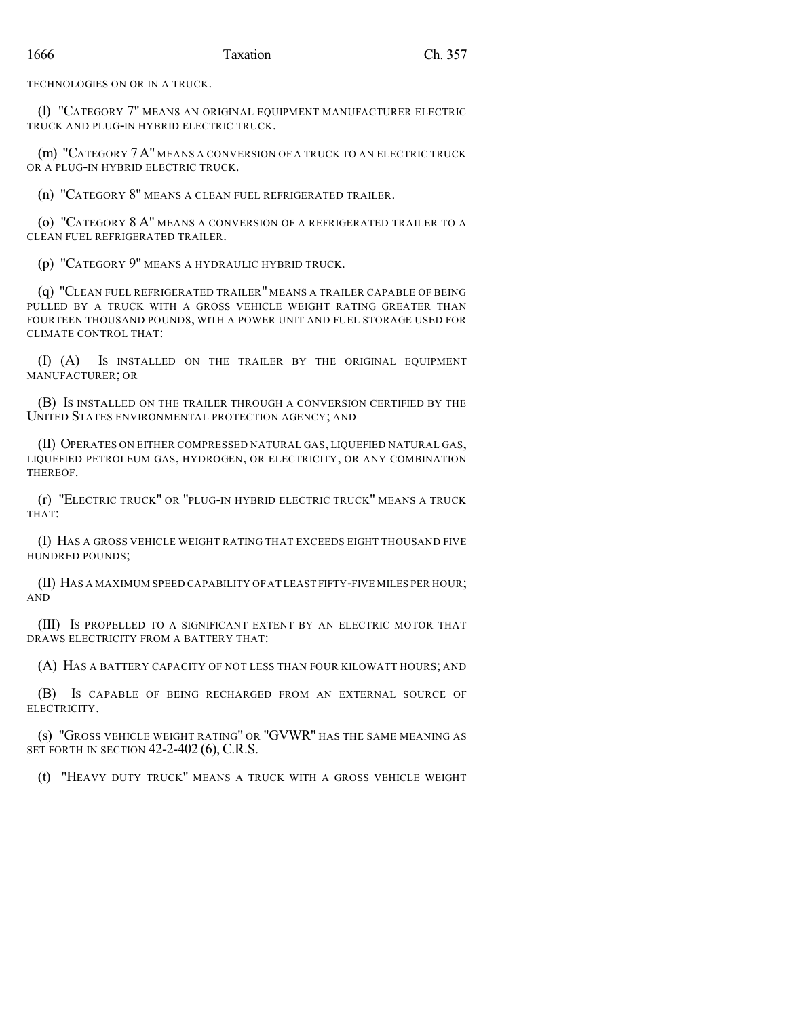TECHNOLOGIES ON OR IN A TRUCK.

(l) "CATEGORY 7" MEANS AN ORIGINAL EQUIPMENT MANUFACTURER ELECTRIC TRUCK AND PLUG-IN HYBRID ELECTRIC TRUCK.

(m) "CATEGORY 7A" MEANS A CONVERSION OF A TRUCK TO AN ELECTRIC TRUCK OR A PLUG-IN HYBRID ELECTRIC TRUCK.

(n) "CATEGORY 8" MEANS A CLEAN FUEL REFRIGERATED TRAILER.

(o) "CATEGORY 8 A" MEANS A CONVERSION OF A REFRIGERATED TRAILER TO A CLEAN FUEL REFRIGERATED TRAILER.

(p) "CATEGORY 9" MEANS A HYDRAULIC HYBRID TRUCK.

(q) "CLEAN FUEL REFRIGERATED TRAILER" MEANS A TRAILER CAPABLE OF BEING PULLED BY A TRUCK WITH A GROSS VEHICLE WEIGHT RATING GREATER THAN FOURTEEN THOUSAND POUNDS, WITH A POWER UNIT AND FUEL STORAGE USED FOR CLIMATE CONTROL THAT:

(I) (A) IS INSTALLED ON THE TRAILER BY THE ORIGINAL EQUIPMENT MANUFACTURER; OR

(B) IS INSTALLED ON THE TRAILER THROUGH A CONVERSION CERTIFIED BY THE UNITED STATES ENVIRONMENTAL PROTECTION AGENCY; AND

(II) OPERATES ON EITHER COMPRESSED NATURAL GAS, LIQUEFIED NATURAL GAS, LIQUEFIED PETROLEUM GAS, HYDROGEN, OR ELECTRICITY, OR ANY COMBINATION THEREOF.

(r) "ELECTRIC TRUCK" OR "PLUG-IN HYBRID ELECTRIC TRUCK" MEANS A TRUCK THAT:

(I) HAS A GROSS VEHICLE WEIGHT RATING THAT EXCEEDS EIGHT THOUSAND FIVE HUNDRED POUNDS;

(II) HAS A MAXIMUM SPEED CAPABILITY OFAT LEAST FIFTY-FIVE MILES PER HOUR; AND

(III) IS PROPELLED TO A SIGNIFICANT EXTENT BY AN ELECTRIC MOTOR THAT DRAWS ELECTRICITY FROM A BATTERY THAT:

(A) HAS A BATTERY CAPACITY OF NOT LESS THAN FOUR KILOWATT HOURS; AND

(B) IS CAPABLE OF BEING RECHARGED FROM AN EXTERNAL SOURCE OF ELECTRICITY.

(s) "GROSS VEHICLE WEIGHT RATING" OR "GVWR" HAS THE SAME MEANING AS SET FORTH IN SECTION 42-2-402 (6), C.R.S.

(t) "HEAVY DUTY TRUCK" MEANS A TRUCK WITH A GROSS VEHICLE WEIGHT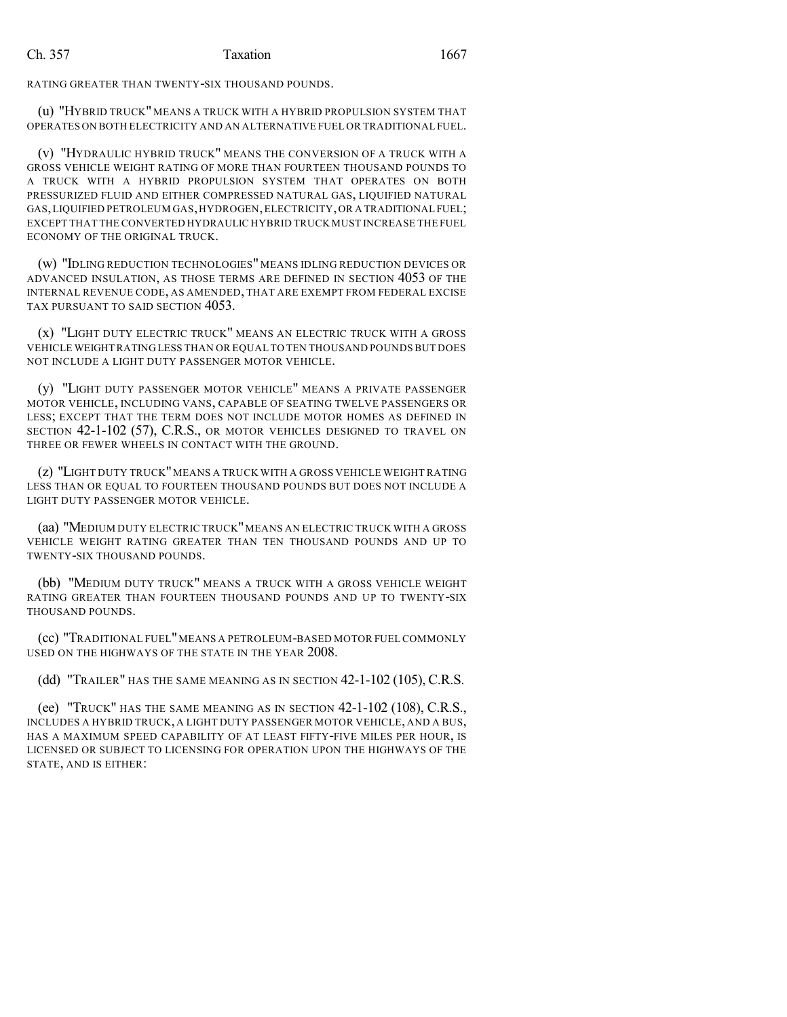RATING GREATER THAN TWENTY-SIX THOUSAND POUNDS.

(u) "HYBRID TRUCK" MEANS A TRUCK WITH A HYBRID PROPULSION SYSTEM THAT OPERATES ON BOTH ELECTRICITY AND AN ALTERNATIVE FUEL OR TRADITIONAL FUEL.

(v) "HYDRAULIC HYBRID TRUCK" MEANS THE CONVERSION OF A TRUCK WITH A GROSS VEHICLE WEIGHT RATING OF MORE THAN FOURTEEN THOUSAND POUNDS TO A TRUCK WITH A HYBRID PROPULSION SYSTEM THAT OPERATES ON BOTH PRESSURIZED FLUID AND EITHER COMPRESSED NATURAL GAS, LIQUIFIED NATURAL GAS,LIQUIFIED PETROLEUM GAS,HYDROGEN,ELECTRICITY,OR A TRADITIONAL FUEL; EXCEPT THAT THE CONVERTED HYDRAULIC HYBRID TRUCK MUST INCREASE THE FUEL ECONOMY OF THE ORIGINAL TRUCK.

(w) "IDLING REDUCTION TECHNOLOGIES" MEANS IDLING REDUCTION DEVICES OR ADVANCED INSULATION, AS THOSE TERMS ARE DEFINED IN SECTION 4053 OF THE INTERNAL REVENUE CODE, AS AMENDED, THAT ARE EXEMPT FROM FEDERAL EXCISE TAX PURSUANT TO SAID SECTION 4053.

(x) "LIGHT DUTY ELECTRIC TRUCK" MEANS AN ELECTRIC TRUCK WITH A GROSS VEHICLE WEIGHT RATINGLESS THAN OR EQUAL TO TEN THOUSAND POUNDS BUT DOES NOT INCLUDE A LIGHT DUTY PASSENGER MOTOR VEHICLE.

(y) "LIGHT DUTY PASSENGER MOTOR VEHICLE" MEANS A PRIVATE PASSENGER MOTOR VEHICLE, INCLUDING VANS, CAPABLE OF SEATING TWELVE PASSENGERS OR LESS; EXCEPT THAT THE TERM DOES NOT INCLUDE MOTOR HOMES AS DEFINED IN SECTION 42-1-102 (57), C.R.S., OR MOTOR VEHICLES DESIGNED TO TRAVEL ON THREE OR FEWER WHEELS IN CONTACT WITH THE GROUND.

(z) "LIGHT DUTY TRUCK"MEANS A TRUCK WITH A GROSS VEHICLE WEIGHT RATING LESS THAN OR EQUAL TO FOURTEEN THOUSAND POUNDS BUT DOES NOT INCLUDE A LIGHT DUTY PASSENGER MOTOR VEHICLE.

(aa) "MEDIUM DUTY ELECTRIC TRUCK"MEANS AN ELECTRIC TRUCK WITH A GROSS VEHICLE WEIGHT RATING GREATER THAN TEN THOUSAND POUNDS AND UP TO TWENTY-SIX THOUSAND POUNDS.

(bb) "MEDIUM DUTY TRUCK" MEANS A TRUCK WITH A GROSS VEHICLE WEIGHT RATING GREATER THAN FOURTEEN THOUSAND POUNDS AND UP TO TWENTY-SIX THOUSAND POUNDS.

(cc) "TRADITIONAL FUEL"MEANS A PETROLEUM-BASED MOTOR FUELCOMMONLY USED ON THE HIGHWAYS OF THE STATE IN THE YEAR 2008.

(dd) "TRAILER" HAS THE SAME MEANING AS IN SECTION 42-1-102 (105), C.R.S.

(ee) "TRUCK" HAS THE SAME MEANING AS IN SECTION 42-1-102 (108), C.R.S., INCLUDES A HYBRID TRUCK, A LIGHT DUTY PASSENGER MOTOR VEHICLE, AND A BUS, HAS A MAXIMUM SPEED CAPABILITY OF AT LEAST FIFTY-FIVE MILES PER HOUR, IS LICENSED OR SUBJECT TO LICENSING FOR OPERATION UPON THE HIGHWAYS OF THE STATE, AND IS EITHER: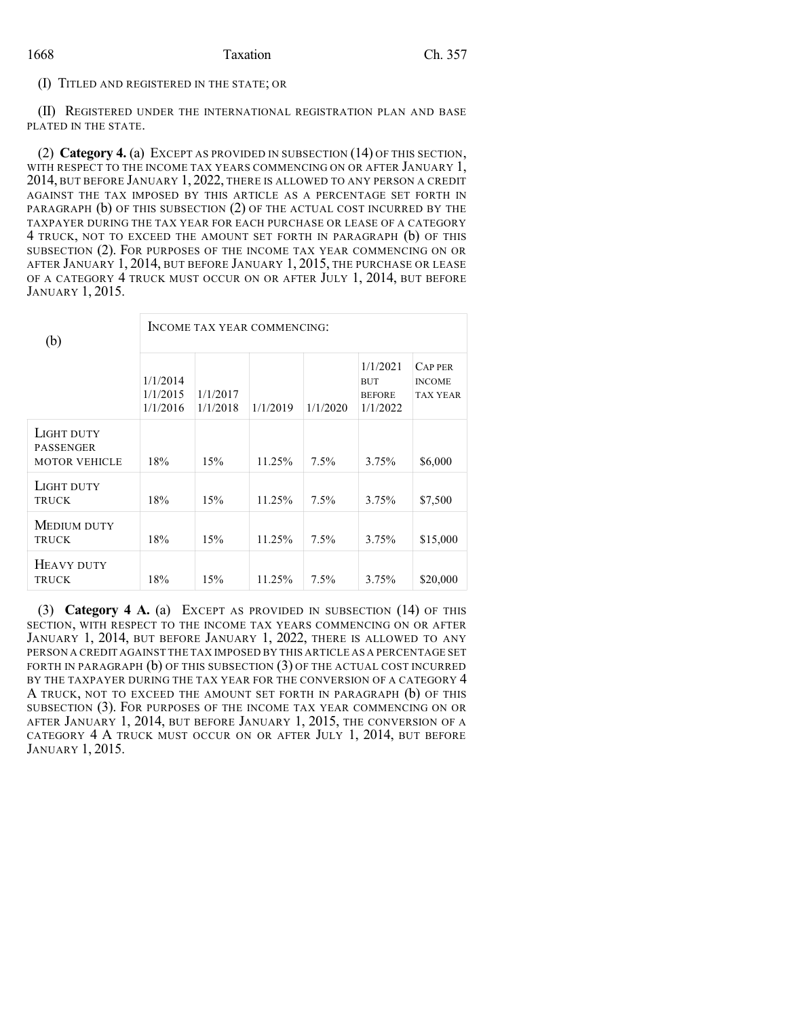(I) TITLED AND REGISTERED IN THE STATE; OR

(II) REGISTERED UNDER THE INTERNATIONAL REGISTRATION PLAN AND BASE PLATED IN THE STATE.

(2) **Category 4.** (a) EXCEPT AS PROVIDED IN SUBSECTION (14) OF THIS SECTION, WITH RESPECT TO THE INCOME TAX YEARS COMMENCING ON OR AFTER JANUARY 1, 2014, BUT BEFORE JANUARY 1, 2022, THERE IS ALLOWED TO ANY PERSON A CREDIT AGAINST THE TAX IMPOSED BY THIS ARTICLE AS A PERCENTAGE SET FORTH IN PARAGRAPH (b) OF THIS SUBSECTION (2) OF THE ACTUAL COST INCURRED BY THE TAXPAYER DURING THE TAX YEAR FOR EACH PURCHASE OR LEASE OF A CATEGORY 4 TRUCK, NOT TO EXCEED THE AMOUNT SET FORTH IN PARAGRAPH (b) OF THIS SUBSECTION (2). FOR PURPOSES OF THE INCOME TAX YEAR COMMENCING ON OR AFTER JANUARY 1, 2014, BUT BEFORE JANUARY 1, 2015, THE PURCHASE OR LEASE OF A CATEGORY 4 TRUCK MUST OCCUR ON OR AFTER JULY 1, 2014, BUT BEFORE JANUARY 1, 2015.

| (b)                                                    | INCOME TAX YEAR COMMENCING:      |                      |          |          |                                                     |                                                   |  |  |
|--------------------------------------------------------|----------------------------------|----------------------|----------|----------|-----------------------------------------------------|---------------------------------------------------|--|--|
|                                                        | 1/1/2014<br>1/1/2015<br>1/1/2016 | 1/1/2017<br>1/1/2018 | 1/1/2019 | 1/1/2020 | 1/1/2021<br><b>BUT</b><br><b>BEFORE</b><br>1/1/2022 | <b>CAPPER</b><br><b>INCOME</b><br><b>TAX YEAR</b> |  |  |
| LIGHT DUTY<br><b>PASSENGER</b><br><b>MOTOR VEHICLE</b> | 18%                              | 15%                  | 11.25%   | $7.5\%$  | 3.75%                                               | \$6,000                                           |  |  |
| LIGHT DUTY<br><b>TRUCK</b>                             | 18%                              | 15%                  | 11.25%   | $7.5\%$  | 3.75%                                               | \$7,500                                           |  |  |
| MEDIUM DUTY<br><b>TRUCK</b>                            | 18%                              | 15%                  | 11.25%   | $7.5\%$  | 3.75%                                               | \$15,000                                          |  |  |
| HEAVY DUTY<br><b>TRUCK</b>                             | 18%                              | 15%                  | 11.25%   | $7.5\%$  | 3.75%                                               | \$20,000                                          |  |  |

(3) **Category 4 A.** (a) EXCEPT AS PROVIDED IN SUBSECTION (14) OF THIS SECTION, WITH RESPECT TO THE INCOME TAX YEARS COMMENCING ON OR AFTER JANUARY 1, 2014, BUT BEFORE JANUARY 1, 2022, THERE IS ALLOWED TO ANY PERSON A CREDIT AGAINST THE TAX IMPOSED BY THIS ARTICLE AS A PERCENTAGE SET FORTH IN PARAGRAPH (b) OF THIS SUBSECTION (3) OF THE ACTUAL COST INCURRED BY THE TAXPAYER DURING THE TAX YEAR FOR THE CONVERSION OF A CATEGORY 4 A TRUCK, NOT TO EXCEED THE AMOUNT SET FORTH IN PARAGRAPH (b) OF THIS SUBSECTION (3). FOR PURPOSES OF THE INCOME TAX YEAR COMMENCING ON OR AFTER JANUARY 1, 2014, BUT BEFORE JANUARY 1, 2015, THE CONVERSION OF A CATEGORY 4 A TRUCK MUST OCCUR ON OR AFTER JULY 1, 2014, BUT BEFORE JANUARY 1, 2015.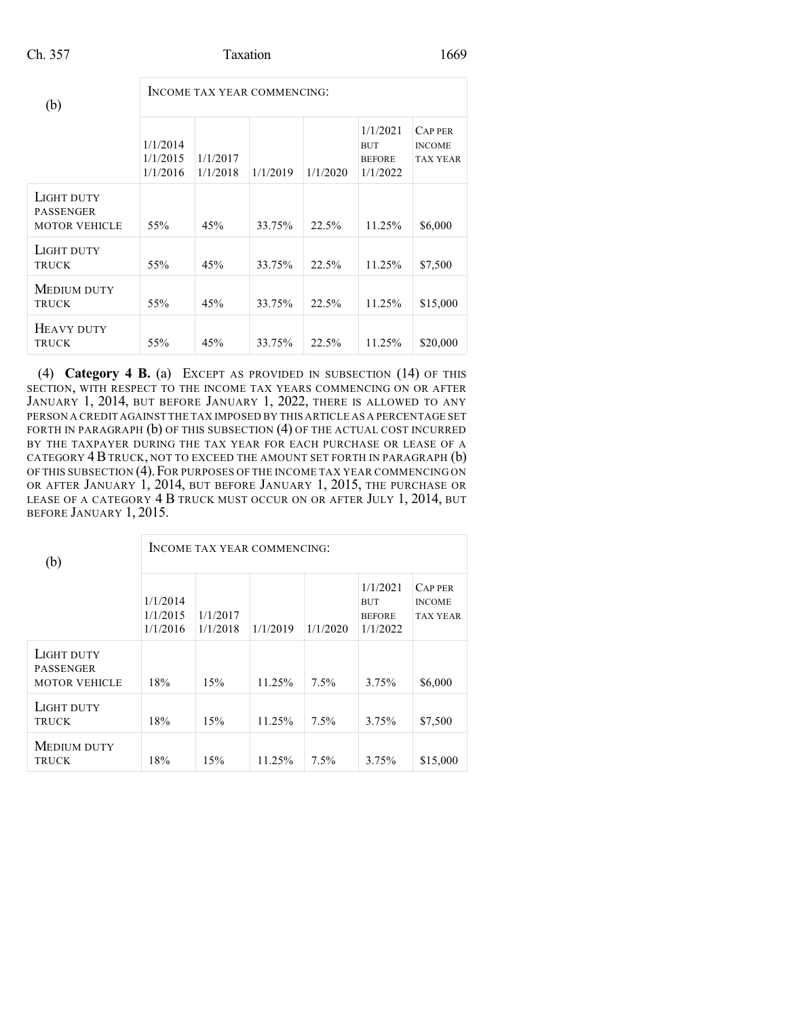| (b)                                                    | INCOME TAX YEAR COMMENCING:      |                      |          |          |                                                     |                                                    |  |  |  |
|--------------------------------------------------------|----------------------------------|----------------------|----------|----------|-----------------------------------------------------|----------------------------------------------------|--|--|--|
|                                                        | 1/1/2014<br>1/1/2015<br>1/1/2016 | 1/1/2017<br>1/1/2018 | 1/1/2019 | 1/1/2020 | 1/1/2021<br><b>BUT</b><br><b>BEFORE</b><br>1/1/2022 | <b>CAP PER</b><br><b>INCOME</b><br><b>TAX YEAR</b> |  |  |  |
| LIGHT DUTY<br><b>PASSENGER</b><br><b>MOTOR VEHICLE</b> | 55%                              | 45%                  | 33.75%   | 22.5%    | 11.25%                                              | \$6,000                                            |  |  |  |
| LIGHT DUTY<br><b>TRUCK</b>                             | 55%                              | 45%                  | 33.75%   | 22.5%    | 11.25%                                              | \$7,500                                            |  |  |  |
| MEDIUM DUTY<br><b>TRUCK</b>                            | 55%                              | 45%                  | 33.75%   | 22.5%    | 11.25%                                              | \$15,000                                           |  |  |  |
| HEAVY DUTY<br><b>TRUCK</b>                             | 55%                              | 45%                  | 33.75%   | 22.5%    | 11.25%                                              | \$20,000                                           |  |  |  |

(4) **Category 4 B.** (a) EXCEPT AS PROVIDED IN SUBSECTION (14) OF THIS SECTION, WITH RESPECT TO THE INCOME TAX YEARS COMMENCING ON OR AFTER JANUARY 1, 2014, BUT BEFORE JANUARY 1, 2022, THERE IS ALLOWED TO ANY PERSON A CREDIT AGAINST THE TAX IMPOSED BY THIS ARTICLE AS A PERCENTAGE SET FORTH IN PARAGRAPH (b) OF THIS SUBSECTION (4) OF THE ACTUAL COST INCURRED BY THE TAXPAYER DURING THE TAX YEAR FOR EACH PURCHASE OR LEASE OF A CATEGORY  $4B$  TRUCK, NOT TO EXCEED THE AMOUNT SET FORTH IN PARAGRAPH  $(b)$ OF THIS SUBSECTION (4). FOR PURPOSES OF THE INCOME TAX YEAR COMMENCING ON OR AFTER JANUARY 1, 2014, BUT BEFORE JANUARY 1, 2015, THE PURCHASE OR LEASE OF A CATEGORY 4 B TRUCK MUST OCCUR ON OR AFTER JULY 1, 2014, BUT BEFORE JANUARY 1, 2015.

| (b)                                                    | INCOME TAX YEAR COMMENCING:      |                      |          |          |                                                     |                                                    |  |  |  |
|--------------------------------------------------------|----------------------------------|----------------------|----------|----------|-----------------------------------------------------|----------------------------------------------------|--|--|--|
|                                                        | 1/1/2014<br>1/1/2015<br>1/1/2016 | 1/1/2017<br>1/1/2018 | 1/1/2019 | 1/1/2020 | 1/1/2021<br><b>BUT</b><br><b>BEFORE</b><br>1/1/2022 | <b>CAP PER</b><br><b>INCOME</b><br><b>TAX YEAR</b> |  |  |  |
| LIGHT DUTY<br><b>PASSENGER</b><br><b>MOTOR VEHICLE</b> | 18%                              | 15%                  | 11.25%   | $7.5\%$  | 3.75%                                               | \$6,000                                            |  |  |  |
| LIGHT DUTY<br><b>TRUCK</b>                             | 18%                              | 15%                  | 11.25%   | $7.5\%$  | 3.75%                                               | \$7,500                                            |  |  |  |
| <b>MEDIUM DUTY</b><br><b>TRUCK</b>                     | 18%                              | 15%                  | 11.25%   | $7.5\%$  | 3.75%                                               | \$15,000                                           |  |  |  |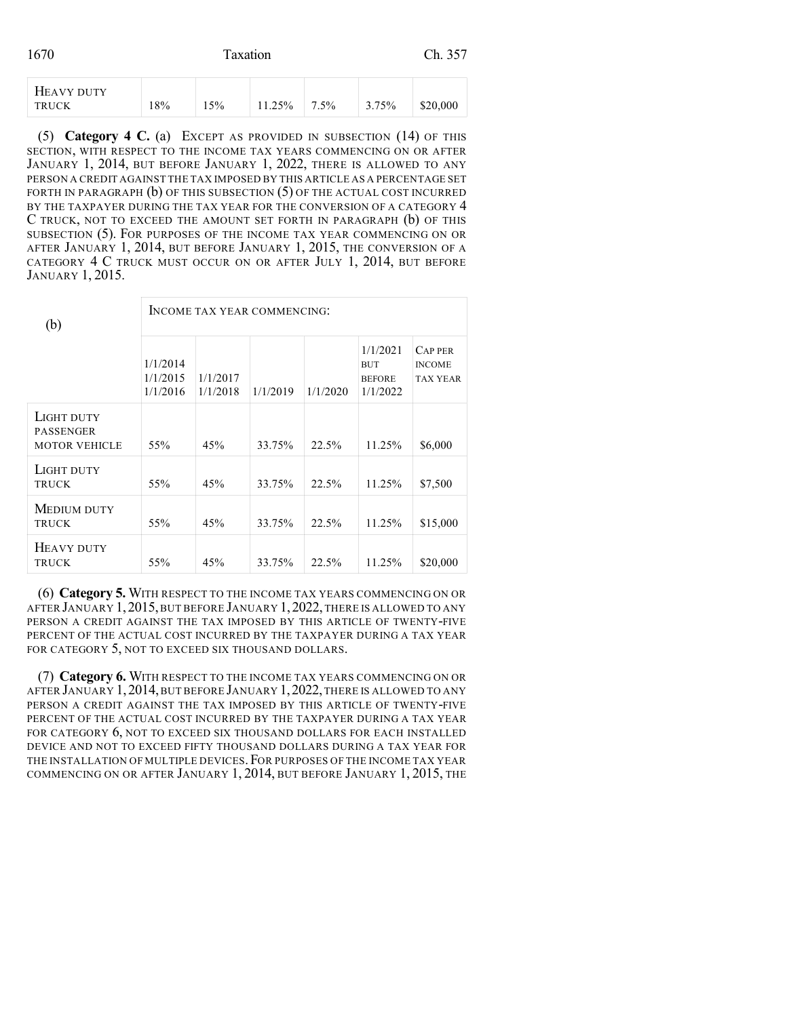| 1670 | Taxation | Ch. 357 |
|------|----------|---------|
|      |          |         |

| HEAVY DUTY<br><b>TRUCK</b> | 18% | 15% | 11.25% | $7.5\%$ | 3.75% | \$20,000 |
|----------------------------|-----|-----|--------|---------|-------|----------|
|----------------------------|-----|-----|--------|---------|-------|----------|

(5) **Category 4 C.** (a) EXCEPT AS PROVIDED IN SUBSECTION (14) OF THIS SECTION, WITH RESPECT TO THE INCOME TAX YEARS COMMENCING ON OR AFTER JANUARY 1, 2014, BUT BEFORE JANUARY 1, 2022, THERE IS ALLOWED TO ANY PERSON A CREDIT AGAINST THE TAX IMPOSED BY THIS ARTICLE AS A PERCENTAGE SET FORTH IN PARAGRAPH (b) OF THIS SUBSECTION (5) OF THE ACTUAL COST INCURRED BY THE TAXPAYER DURING THE TAX YEAR FOR THE CONVERSION OF A CATEGORY 4 C TRUCK, NOT TO EXCEED THE AMOUNT SET FORTH IN PARAGRAPH (b) OF THIS SUBSECTION (5). FOR PURPOSES OF THE INCOME TAX YEAR COMMENCING ON OR AFTER JANUARY 1, 2014, BUT BEFORE JANUARY 1, 2015, THE CONVERSION OF A CATEGORY 4 C TRUCK MUST OCCUR ON OR AFTER JULY 1, 2014, BUT BEFORE JANUARY 1, 2015.

| (b)                                                    | INCOME TAX YEAR COMMENCING:      |                      |          |          |                                                     |                                                    |  |  |  |
|--------------------------------------------------------|----------------------------------|----------------------|----------|----------|-----------------------------------------------------|----------------------------------------------------|--|--|--|
|                                                        | 1/1/2014<br>1/1/2015<br>1/1/2016 | 1/1/2017<br>1/1/2018 | 1/1/2019 | 1/1/2020 | 1/1/2021<br><b>BUT</b><br><b>BEFORE</b><br>1/1/2022 | <b>CAP PER</b><br><b>INCOME</b><br><b>TAX YEAR</b> |  |  |  |
| LIGHT DUTY<br><b>PASSENGER</b><br><b>MOTOR VEHICLE</b> | 55%                              | 45%                  | 33.75%   | 22.5%    | 11.25%                                              | \$6,000                                            |  |  |  |
| LIGHT DUTY<br><b>TRUCK</b>                             | 55%                              | 45%                  | 33.75%   | 22.5%    | 11.25%                                              | \$7,500                                            |  |  |  |
| MEDIUM DUTY<br><b>TRUCK</b>                            | 55%                              | 45%                  | 33.75%   | 22.5%    | 11.25%                                              | \$15,000                                           |  |  |  |
| HEAVY DUTY<br><b>TRUCK</b>                             | 55%                              | 45%                  | 33.75%   | 22.5%    | 11.25%                                              | \$20,000                                           |  |  |  |

(6) **Category 5.** WITH RESPECT TO THE INCOME TAX YEARS COMMENCING ON OR AFTER JANUARY 1, 2015, BUT BEFORE JANUARY 1, 2022, THERE IS ALLOWED TO ANY PERSON A CREDIT AGAINST THE TAX IMPOSED BY THIS ARTICLE OF TWENTY-FIVE PERCENT OF THE ACTUAL COST INCURRED BY THE TAXPAYER DURING A TAX YEAR FOR CATEGORY 5, NOT TO EXCEED SIX THOUSAND DOLLARS.

(7) **Category 6.** WITH RESPECT TO THE INCOME TAX YEARS COMMENCING ON OR AFTER JANUARY 1,2014,BUT BEFORE JANUARY 1,2022,THERE IS ALLOWED TO ANY PERSON A CREDIT AGAINST THE TAX IMPOSED BY THIS ARTICLE OF TWENTY-FIVE PERCENT OF THE ACTUAL COST INCURRED BY THE TAXPAYER DURING A TAX YEAR FOR CATEGORY 6, NOT TO EXCEED SIX THOUSAND DOLLARS FOR EACH INSTALLED DEVICE AND NOT TO EXCEED FIFTY THOUSAND DOLLARS DURING A TAX YEAR FOR THE INSTALLATION OF MULTIPLE DEVICES.FOR PURPOSES OF THE INCOME TAX YEAR COMMENCING ON OR AFTER JANUARY 1, 2014, BUT BEFORE JANUARY 1, 2015, THE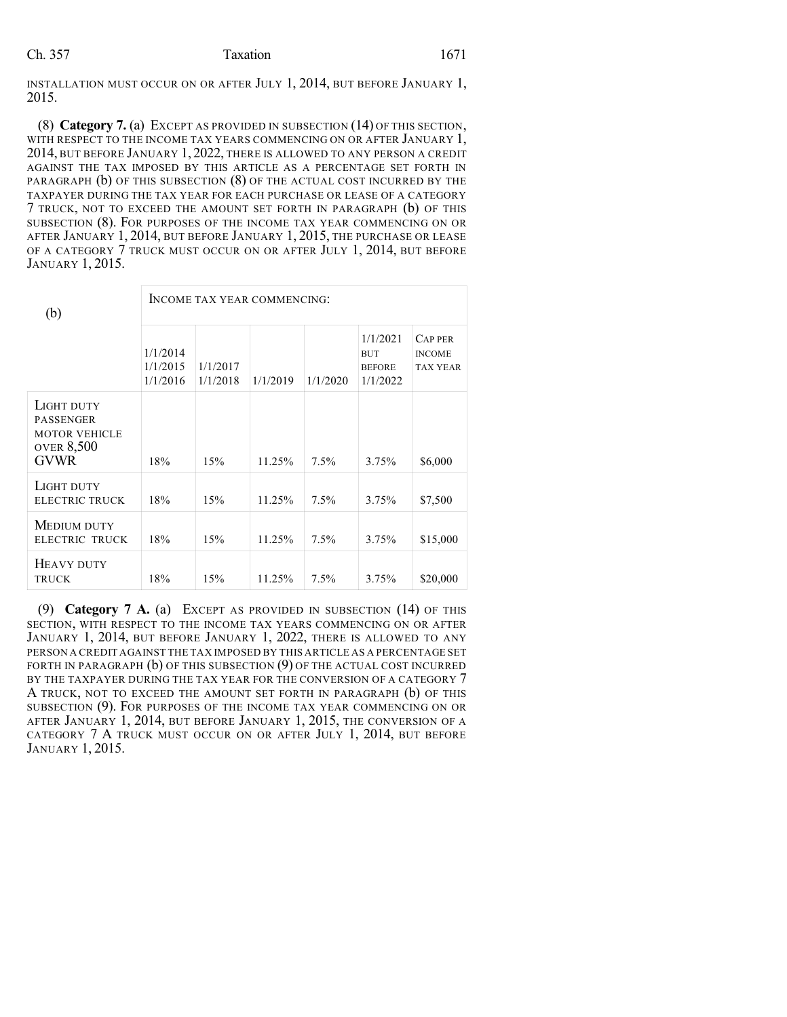INSTALLATION MUST OCCUR ON OR AFTER JULY 1, 2014, BUT BEFORE JANUARY 1, 2015.

(8) **Category 7.** (a) EXCEPT AS PROVIDED IN SUBSECTION (14) OF THIS SECTION, WITH RESPECT TO THE INCOME TAX YEARS COMMENCING ON OR AFTER JANUARY 1, 2014, BUT BEFORE JANUARY 1, 2022, THERE IS ALLOWED TO ANY PERSON A CREDIT AGAINST THE TAX IMPOSED BY THIS ARTICLE AS A PERCENTAGE SET FORTH IN PARAGRAPH (b) OF THIS SUBSECTION (8) OF THE ACTUAL COST INCURRED BY THE TAXPAYER DURING THE TAX YEAR FOR EACH PURCHASE OR LEASE OF A CATEGORY 7 TRUCK, NOT TO EXCEED THE AMOUNT SET FORTH IN PARAGRAPH (b) OF THIS SUBSECTION (8). FOR PURPOSES OF THE INCOME TAX YEAR COMMENCING ON OR AFTER JANUARY 1, 2014, BUT BEFORE JANUARY 1, 2015, THE PURCHASE OR LEASE OF A CATEGORY 7 TRUCK MUST OCCUR ON OR AFTER JULY 1, 2014, BUT BEFORE JANUARY 1, 2015.

| (b)                                                                                 | INCOME TAX YEAR COMMENCING:      |                      |          |          |                                                     |                                                    |  |  |
|-------------------------------------------------------------------------------------|----------------------------------|----------------------|----------|----------|-----------------------------------------------------|----------------------------------------------------|--|--|
|                                                                                     | 1/1/2014<br>1/1/2015<br>1/1/2016 | 1/1/2017<br>1/1/2018 | 1/1/2019 | 1/1/2020 | 1/1/2021<br><b>BUT</b><br><b>BEFORE</b><br>1/1/2022 | <b>CAP PER</b><br><b>INCOME</b><br><b>TAX YEAR</b> |  |  |
| LIGHT DUTY<br>PASSENGER<br><b>MOTOR VEHICLE</b><br><b>OVER 8,500</b><br><b>GVWR</b> | 18%                              | 15%                  | 11.25%   | $7.5\%$  | 3.75%                                               | \$6,000                                            |  |  |
| LIGHT DUTY<br><b>ELECTRIC TRUCK</b>                                                 | 18%                              | 15%                  | 11.25%   | $7.5\%$  | 3.75%                                               | \$7,500                                            |  |  |
| MEDIUM DUTY<br>ELECTRIC TRUCK                                                       | 18%                              | 15%                  | 11.25%   | $7.5\%$  | 3.75%                                               | \$15,000                                           |  |  |
| HEAVY DUTY<br><b>TRUCK</b>                                                          | 18%                              | 15%                  | 11.25%   | $7.5\%$  | 3.75%                                               | \$20,000                                           |  |  |

(9) **Category 7 A.** (a) EXCEPT AS PROVIDED IN SUBSECTION (14) OF THIS SECTION, WITH RESPECT TO THE INCOME TAX YEARS COMMENCING ON OR AFTER JANUARY 1, 2014, BUT BEFORE JANUARY 1, 2022, THERE IS ALLOWED TO ANY PERSON A CREDIT AGAINST THE TAX IMPOSED BY THIS ARTICLE AS A PERCENTAGE SET FORTH IN PARAGRAPH (b) OF THIS SUBSECTION (9) OF THE ACTUAL COST INCURRED BY THE TAXPAYER DURING THE TAX YEAR FOR THE CONVERSION OF A CATEGORY 7 A TRUCK, NOT TO EXCEED THE AMOUNT SET FORTH IN PARAGRAPH (b) OF THIS SUBSECTION (9). FOR PURPOSES OF THE INCOME TAX YEAR COMMENCING ON OR AFTER JANUARY 1, 2014, BUT BEFORE JANUARY 1, 2015, THE CONVERSION OF A CATEGORY 7 A TRUCK MUST OCCUR ON OR AFTER JULY 1, 2014, BUT BEFORE JANUARY 1, 2015.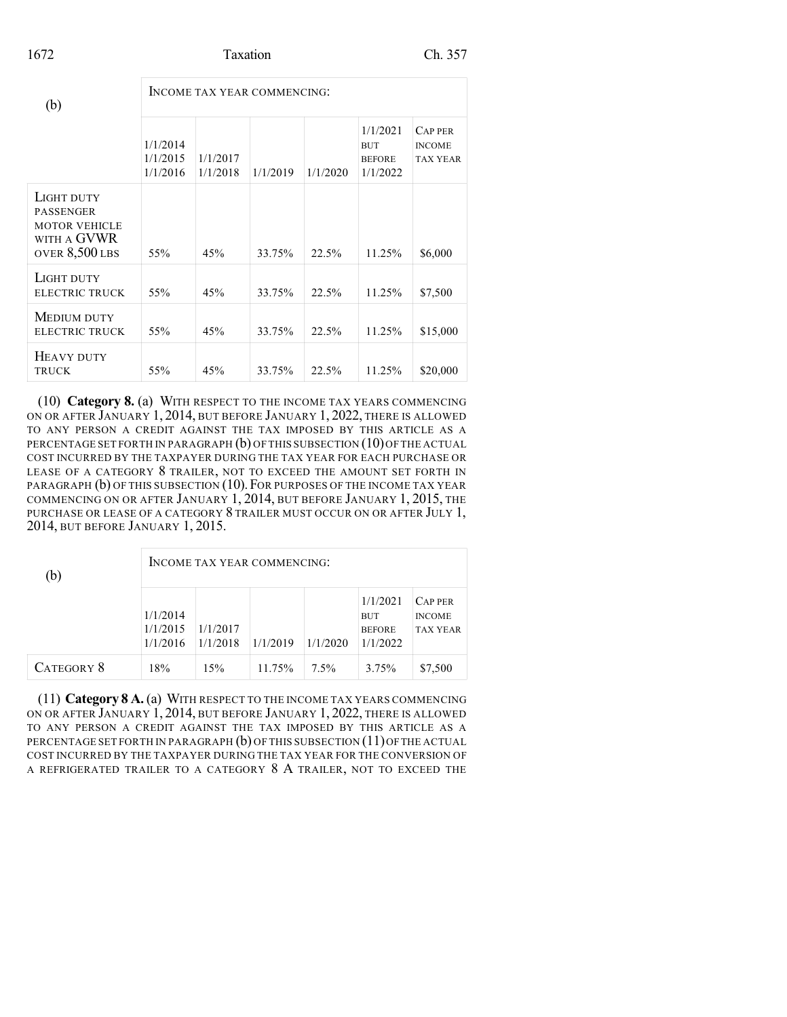## 1672 Taxation Ch. 357

| (b)                                                                                     | INCOME TAX YEAR COMMENCING:      |                      |          |          |                                                     |                                                    |  |  |
|-----------------------------------------------------------------------------------------|----------------------------------|----------------------|----------|----------|-----------------------------------------------------|----------------------------------------------------|--|--|
|                                                                                         | 1/1/2014<br>1/1/2015<br>1/1/2016 | 1/1/2017<br>1/1/2018 | 1/1/2019 | 1/1/2020 | 1/1/2021<br><b>BUT</b><br><b>BEFORE</b><br>1/1/2022 | <b>CAP PER</b><br><b>INCOME</b><br><b>TAX YEAR</b> |  |  |
| LIGHT DUTY<br><b>PASSENGER</b><br><b>MOTOR VEHICLE</b><br>WITH A GVWR<br>OVER 8,500 LBS | 55%                              | 45%                  | 33.75%   | 22.5%    | 11.25%                                              | \$6,000                                            |  |  |
| LIGHT DUTY<br><b>ELECTRIC TRUCK</b>                                                     | 55%                              | 45%                  | 33.75%   | 22.5%    | 11.25%                                              | \$7,500                                            |  |  |
| MEDIUM DUTY<br>ELECTRIC TRUCK                                                           | 55%                              | 45%                  | 33.75%   | 22.5%    | 11.25%                                              | \$15,000                                           |  |  |
| HEAVY DUTY<br><b>TRUCK</b>                                                              | 55%                              | 45%                  | 33.75%   | 22.5%    | 11.25%                                              | \$20,000                                           |  |  |

(10) **Category 8.** (a) WITH RESPECT TO THE INCOME TAX YEARS COMMENCING ON OR AFTER JANUARY 1, 2014, BUT BEFORE JANUARY 1, 2022, THERE IS ALLOWED TO ANY PERSON A CREDIT AGAINST THE TAX IMPOSED BY THIS ARTICLE AS A PERCENTAGE SET FORTH IN PARAGRAPH (b) OF THIS SUBSECTION (10) OF THE ACTUAL COST INCURRED BY THE TAXPAYER DURING THE TAX YEAR FOR EACH PURCHASE OR LEASE OF A CATEGORY 8 TRAILER, NOT TO EXCEED THE AMOUNT SET FORTH IN PARAGRAPH (b) OF THIS SUBSECTION (10).FOR PURPOSES OF THE INCOME TAX YEAR COMMENCING ON OR AFTER JANUARY 1, 2014, BUT BEFORE JANUARY 1, 2015, THE PURCHASE OR LEASE OF A CATEGORY 8 TRAILER MUST OCCUR ON OR AFTER JULY 1, 2014, BUT BEFORE JANUARY 1, 2015.

| (b)        | INCOME TAX YEAR COMMENCING:      |                      |          |          |                                                     |                                                    |  |  |
|------------|----------------------------------|----------------------|----------|----------|-----------------------------------------------------|----------------------------------------------------|--|--|
|            | 1/1/2014<br>1/1/2015<br>1/1/2016 | 1/1/2017<br>1/1/2018 | 1/1/2019 | 1/1/2020 | 1/1/2021<br><b>BUT</b><br><b>BEFORE</b><br>1/1/2022 | <b>CAP PER</b><br><b>INCOME</b><br><b>TAX YEAR</b> |  |  |
| CATEGORY 8 | 18%                              | 15%                  | 11.75%   | $7.5\%$  | 3.75%                                               | \$7,500                                            |  |  |

(11) **Category 8 A.** (a) WITH RESPECT TO THE INCOME TAX YEARS COMMENCING ON OR AFTER JANUARY 1, 2014, BUT BEFORE JANUARY 1, 2022, THERE IS ALLOWED TO ANY PERSON A CREDIT AGAINST THE TAX IMPOSED BY THIS ARTICLE AS A PERCENTAGE SET FORTH IN PARAGRAPH (b) OF THIS SUBSECTION (11) OF THE ACTUAL COST INCURRED BY THE TAXPAYER DURING THE TAX YEAR FOR THE CONVERSION OF A REFRIGERATED TRAILER TO A CATEGORY 8 A TRAILER, NOT TO EXCEED THE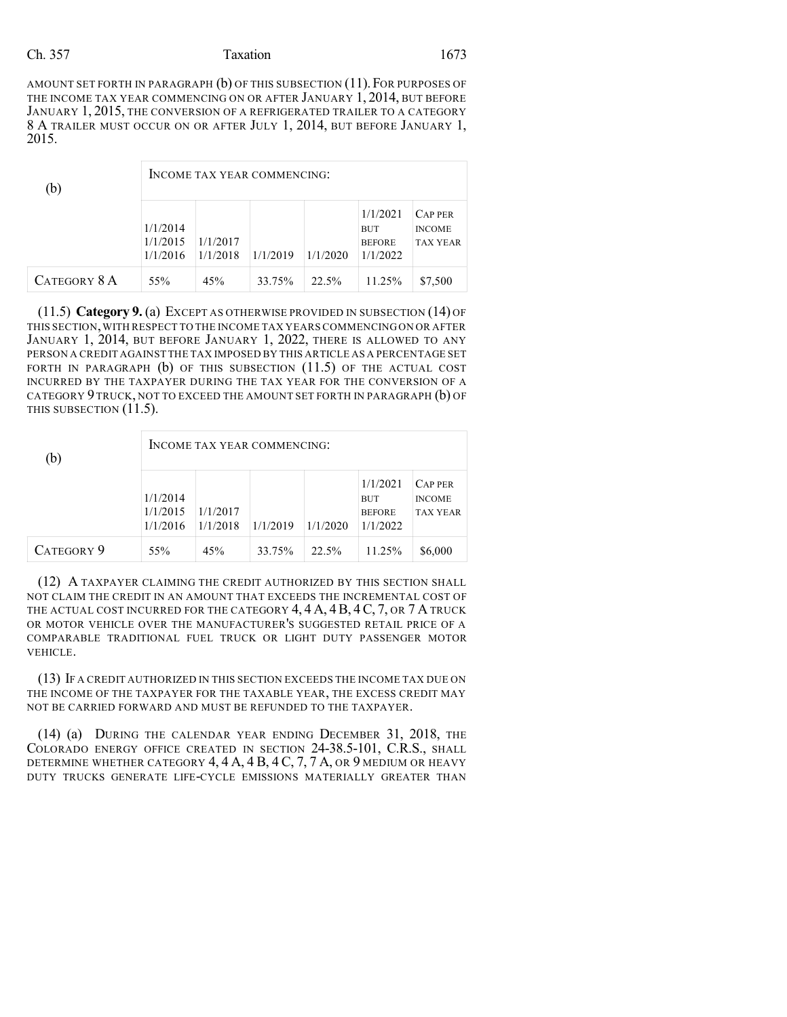AMOUNT SET FORTH IN PARAGRAPH (b) OF THIS SUBSECTION (11). FOR PURPOSES OF THE INCOME TAX YEAR COMMENCING ON OR AFTER JANUARY 1, 2014, BUT BEFORE JANUARY 1, 2015, THE CONVERSION OF A REFRIGERATED TRAILER TO A CATEGORY 8 A TRAILER MUST OCCUR ON OR AFTER JULY 1, 2014, BUT BEFORE JANUARY 1, 2015.

| (b)          | INCOME TAX YEAR COMMENCING:                                                                                                             |     |        |       |        |                                                    |  |  |
|--------------|-----------------------------------------------------------------------------------------------------------------------------------------|-----|--------|-------|--------|----------------------------------------------------|--|--|
|              | 1/1/2021<br>1/1/2014<br><b>BUT</b><br>1/1/2017<br>1/1/2015<br><b>BEFORE</b><br>1/1/2019<br>1/1/2022<br>1/1/2018<br>1/1/2020<br>1/1/2016 |     |        |       |        | <b>CAP PER</b><br><b>INCOME</b><br><b>TAX YEAR</b> |  |  |
| CATEGORY 8 A | 55%                                                                                                                                     | 45% | 33.75% | 22.5% | 11.25% | \$7,500                                            |  |  |

(11.5) **Category 9.** (a) EXCEPT AS OTHERWISE PROVIDED IN SUBSECTION (14) OF THIS SECTION,WITH RESPECT TO THE INCOME TAX YEARS COMMENCING ON OR AFTER JANUARY 1, 2014, BUT BEFORE JANUARY 1, 2022, THERE IS ALLOWED TO ANY PERSON A CREDIT AGAINST THE TAX IMPOSED BY THIS ARTICLE AS A PERCENTAGE SET FORTH IN PARAGRAPH (b) OF THIS SUBSECTION (11.5) OF THE ACTUAL COST INCURRED BY THE TAXPAYER DURING THE TAX YEAR FOR THE CONVERSION OF A CATEGORY 9 TRUCK, NOT TO EXCEED THE AMOUNT SET FORTH IN PARAGRAPH (b) OF THIS SUBSECTION (11.5).

| (b)        | INCOME TAX YEAR COMMENCING:      |                      |          |          |                                                     |                                                    |  |  |
|------------|----------------------------------|----------------------|----------|----------|-----------------------------------------------------|----------------------------------------------------|--|--|
|            | 1/1/2014<br>1/1/2015<br>1/1/2016 | 1/1/2017<br>1/1/2018 | 1/1/2019 | 1/1/2020 | 1/1/2021<br><b>BUT</b><br><b>BEFORE</b><br>1/1/2022 | <b>CAP PER</b><br><b>INCOME</b><br><b>TAX YEAR</b> |  |  |
| CATEGORY 9 | 55%                              | 45%                  | 33.75%   | 22.5%    | 11.25%                                              | \$6,000                                            |  |  |

(12) A TAXPAYER CLAIMING THE CREDIT AUTHORIZED BY THIS SECTION SHALL NOT CLAIM THE CREDIT IN AN AMOUNT THAT EXCEEDS THE INCREMENTAL COST OF THE ACTUAL COST INCURRED FOR THE CATEGORY 4, 4 A, 4 B, 4 C, 7, OR 7 A TRUCK OR MOTOR VEHICLE OVER THE MANUFACTURER'S SUGGESTED RETAIL PRICE OF A COMPARABLE TRADITIONAL FUEL TRUCK OR LIGHT DUTY PASSENGER MOTOR VEHICLE.

(13) IF A CREDIT AUTHORIZED IN THIS SECTION EXCEEDS THE INCOME TAX DUE ON THE INCOME OF THE TAXPAYER FOR THE TAXABLE YEAR, THE EXCESS CREDIT MAY NOT BE CARRIED FORWARD AND MUST BE REFUNDED TO THE TAXPAYER.

(14) (a) DURING THE CALENDAR YEAR ENDING DECEMBER 31, 2018, THE COLORADO ENERGY OFFICE CREATED IN SECTION 24-38.5-101, C.R.S., SHALL DETERMINE WHETHER CATEGORY 4, 4 A, 4 B, 4 C, 7, 7 A, OR 9 MEDIUM OR HEAVY DUTY TRUCKS GENERATE LIFE-CYCLE EMISSIONS MATERIALLY GREATER THAN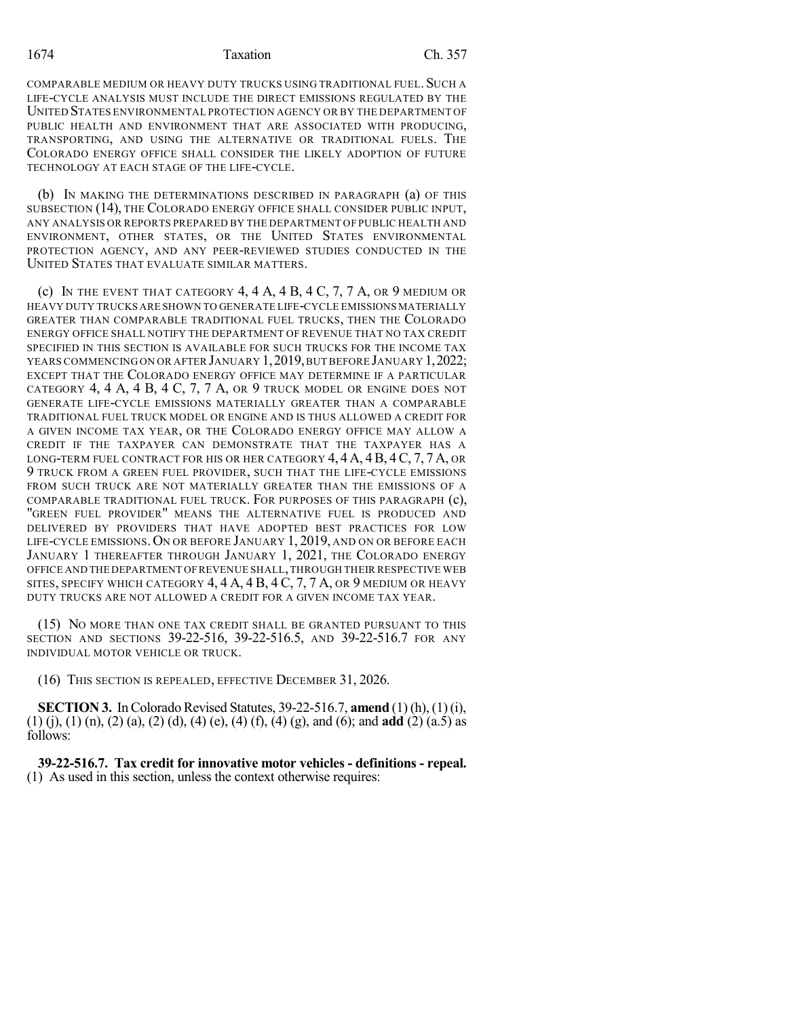1674 Taxation Ch. 357

COMPARABLE MEDIUM OR HEAVY DUTY TRUCKS USING TRADITIONAL FUEL. SUCH A LIFE-CYCLE ANALYSIS MUST INCLUDE THE DIRECT EMISSIONS REGULATED BY THE UNITED STATES ENVIRONMENTAL PROTECTION AGENCY OR BY THE DEPARTMENT OF PUBLIC HEALTH AND ENVIRONMENT THAT ARE ASSOCIATED WITH PRODUCING, TRANSPORTING, AND USING THE ALTERNATIVE OR TRADITIONAL FUELS. THE COLORADO ENERGY OFFICE SHALL CONSIDER THE LIKELY ADOPTION OF FUTURE TECHNOLOGY AT EACH STAGE OF THE LIFE-CYCLE.

(b) IN MAKING THE DETERMINATIONS DESCRIBED IN PARAGRAPH (a) OF THIS SUBSECTION (14), THE COLORADO ENERGY OFFICE SHALL CONSIDER PUBLIC INPUT, ANY ANALYSIS OR REPORTS PREPARED BY THE DEPARTMENT OF PUBLIC HEALTH AND ENVIRONMENT, OTHER STATES, OR THE UNITED STATES ENVIRONMENTAL PROTECTION AGENCY, AND ANY PEER-REVIEWED STUDIES CONDUCTED IN THE UNITED STATES THAT EVALUATE SIMILAR MATTERS.

(c) IN THE EVENT THAT CATEGORY 4, 4 A, 4 B, 4 C, 7, 7 A, OR 9 MEDIUM OR HEAVY DUTY TRUCKS ARE SHOWN TO GENERATE LIFE-CYCLE EMISSIONS MATERIALLY GREATER THAN COMPARABLE TRADITIONAL FUEL TRUCKS, THEN THE COLORADO ENERGY OFFICE SHALL NOTIFY THE DEPARTMENT OF REVENUE THAT NO TAX CREDIT SPECIFIED IN THIS SECTION IS AVAILABLE FOR SUCH TRUCKS FOR THE INCOME TAX YEARS COMMENCING ON OR AFTER JANUARY 1, 2019, BUT BEFORE JANUARY 1, 2022; EXCEPT THAT THE COLORADO ENERGY OFFICE MAY DETERMINE IF A PARTICULAR CATEGORY 4, 4 A, 4 B, 4 C, 7, 7 A, OR 9 TRUCK MODEL OR ENGINE DOES NOT GENERATE LIFE-CYCLE EMISSIONS MATERIALLY GREATER THAN A COMPARABLE TRADITIONAL FUEL TRUCK MODEL OR ENGINE AND IS THUS ALLOWED A CREDIT FOR A GIVEN INCOME TAX YEAR, OR THE COLORADO ENERGY OFFICE MAY ALLOW A CREDIT IF THE TAXPAYER CAN DEMONSTRATE THAT THE TAXPAYER HAS A LONG-TERM FUEL CONTRACT FOR HIS OR HER CATEGORY  $4, 4A, 4B, 4C, 7, 7A$ , OR 9 TRUCK FROM A GREEN FUEL PROVIDER, SUCH THAT THE LIFE-CYCLE EMISSIONS FROM SUCH TRUCK ARE NOT MATERIALLY GREATER THAN THE EMISSIONS OF A COMPARABLE TRADITIONAL FUEL TRUCK. FOR PURPOSES OF THIS PARAGRAPH (c), "GREEN FUEL PROVIDER" MEANS THE ALTERNATIVE FUEL IS PRODUCED AND DELIVERED BY PROVIDERS THAT HAVE ADOPTED BEST PRACTICES FOR LOW LIFE-CYCLE EMISSIONS. ON OR BEFORE JANUARY 1, 2019, AND ON OR BEFORE EACH JANUARY 1 THEREAFTER THROUGH JANUARY 1, 2021, THE COLORADO ENERGY OFFICE AND THE DEPARTMENT OFREVENUE SHALL,THROUGH THEIR RESPECTIVE WEB SITES, SPECIFY WHICH CATEGORY  $4, 4$  A,  $4$  B,  $4$  C,  $7, 7$  A, or  $9$  medium or heavy DUTY TRUCKS ARE NOT ALLOWED A CREDIT FOR A GIVEN INCOME TAX YEAR.

(15) NO MORE THAN ONE TAX CREDIT SHALL BE GRANTED PURSUANT TO THIS SECTION AND SECTIONS 39-22-516, 39-22-516.5, AND 39-22-516.7 FOR ANY INDIVIDUAL MOTOR VEHICLE OR TRUCK.

(16) THIS SECTION IS REPEALED, EFFECTIVE DECEMBER 31, 2026.

**SECTION 3.** In Colorado Revised Statutes, 39-22-516.7, **amend** (1) (h), (1) (i), (1) (j), (1) (n), (2) (a), (2) (d), (4) (e), (4) (f), (4) (g), and (6); and **add** (2) (a.5) as follows:

**39-22-516.7. Tax credit for innovative motor vehicles - definitions - repeal.** (1) As used in this section, unless the context otherwise requires: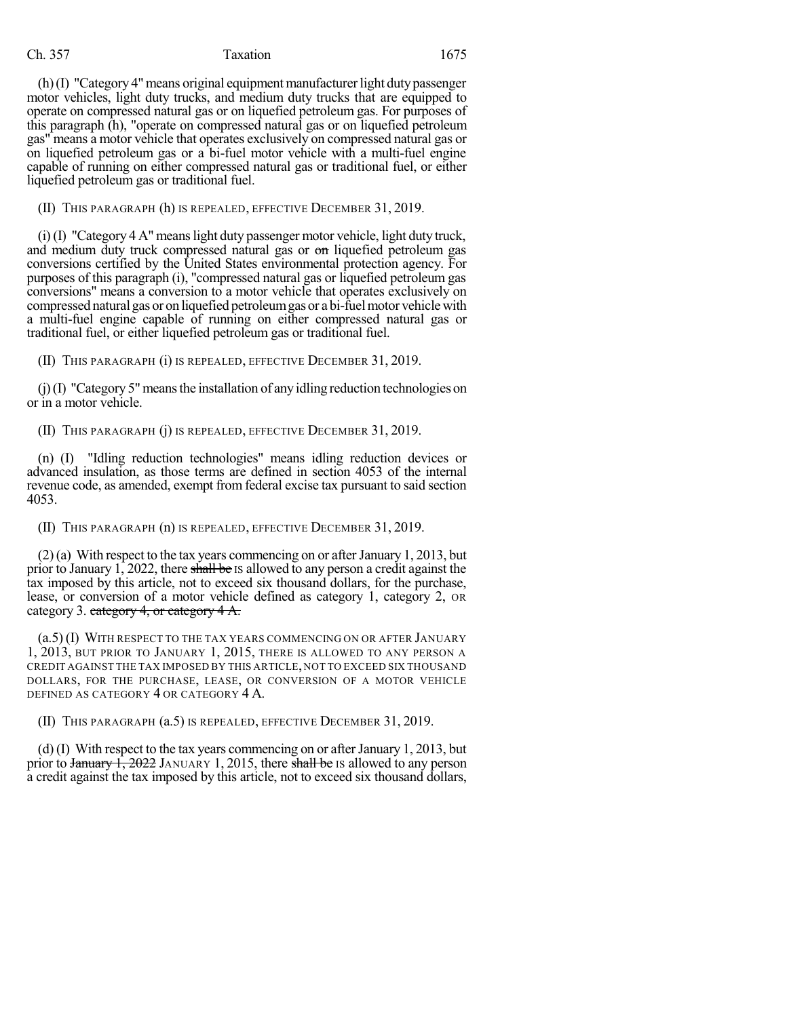$(h)(I)$  "Category 4" means original equipment manufacturer light duty passenger motor vehicles, light duty trucks, and medium duty trucks that are equipped to operate on compressed natural gas or on liquefied petroleum gas. For purposes of this paragraph (h), "operate on compressed natural gas or on liquefied petroleum gas" means a motor vehicle that operates exclusively on compressed natural gas or on liquefied petroleum gas or a bi-fuel motor vehicle with a multi-fuel engine capable of running on either compressed natural gas or traditional fuel, or either liquefied petroleum gas or traditional fuel.

(II) THIS PARAGRAPH (h) IS REPEALED, EFFECTIVE DECEMBER 31, 2019.

 $(i)$  (I) "Category 4 A" means light duty passenger motor vehicle, light duty truck, and medium duty truck compressed natural gas or on liquefied petroleum gas conversions certified by the United States environmental protection agency. For purposes of this paragraph (i), "compressed natural gas or liquefied petroleum gas conversions" means a conversion to a motor vehicle that operates exclusively on compressed natural gas or on liquefied petroleumgas or a bi-fuelmotor vehiclewith a multi-fuel engine capable of running on either compressed natural gas or traditional fuel, or either liquefied petroleum gas or traditional fuel.

(II) THIS PARAGRAPH (i) IS REPEALED, EFFECTIVE DECEMBER 31, 2019.

 $(j)(I)$  "Category 5" means the installation of any idling reduction technologies on or in a motor vehicle.

(II) THIS PARAGRAPH (j) IS REPEALED, EFFECTIVE DECEMBER 31, 2019.

(n) (I) "Idling reduction technologies" means idling reduction devices or advanced insulation, as those terms are defined in section 4053 of the internal revenue code, as amended, exempt from federal excise tax pursuant to said section 4053.

(II) THIS PARAGRAPH (n) IS REPEALED, EFFECTIVE DECEMBER 31, 2019.

(2)(a) With respect to the tax years commencing on or afterJanuary 1, 2013, but prior to January 1, 2022, there shall be Is allowed to any person a credit against the tax imposed by this article, not to exceed six thousand dollars, for the purchase, lease, or conversion of a motor vehicle defined as category 1, category 2, OR category 3. category 4, or category 4 A.

(a.5) (I) WITH RESPECT TO THE TAX YEARS COMMENCING ON OR AFTER JANUARY 1, 2013, BUT PRIOR TO JANUARY 1, 2015, THERE IS ALLOWED TO ANY PERSON A CREDIT AGAINST THE TAX IMPOSED BY THIS ARTICLE, NOT TO EXCEED SIX THOUSAND DOLLARS, FOR THE PURCHASE, LEASE, OR CONVERSION OF A MOTOR VEHICLE DEFINED AS CATEGORY 4 OR CATEGORY 4 A.

(II) THIS PARAGRAPH (a.5) IS REPEALED, EFFECTIVE DECEMBER 31, 2019.

(d)  $(I)$  With respect to the tax years commencing on or after January 1, 2013, but prior to  $\frac{1}{2022}$  JANUARY 1, 2015, there shall be IS allowed to any person a credit against the tax imposed by this article, not to exceed six thousand dollars,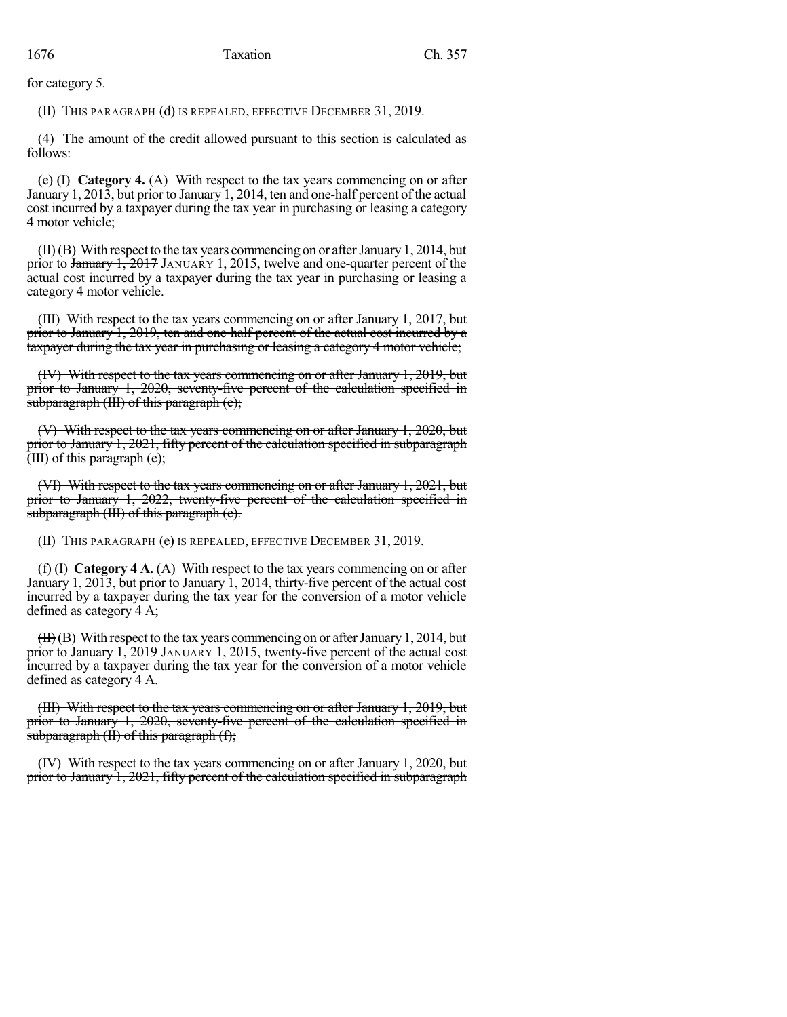for category 5.

(II) THIS PARAGRAPH (d) IS REPEALED, EFFECTIVE DECEMBER 31, 2019.

(4) The amount of the credit allowed pursuant to this section is calculated as follows:

(e) (I) **Category 4.** (A) With respect to the tax years commencing on or after January 1, 2013, but prior to January 1, 2014, ten and one-half percent of the actual cost incurred by a taxpayer during the tax year in purchasing or leasing a category 4 motor vehicle;

 $(HH)$ (B) With respect to the tax years commencing on or after January 1, 2014, but prior to January 1, 2017 JANUARY 1, 2015, twelve and one-quarter percent of the actual cost incurred by a taxpayer during the tax year in purchasing or leasing a category 4 motor vehicle.

(III) With respect to the tax years commencing on or after January 1, 2017, but prior to January 1, 2019, ten and one-half percent of the actual cost incurred by a taxpayer during the tax year in purchasing or leasing a category 4 motor vehicle;

(IV) With respect to the tax years commencing on or after January 1, 2019, but prior to January 1, 2020, seventy-five percent of the calculation specified in subparagraph (III) of this paragraph (e);

(V) With respect to the tax years commencing on or after January 1, 2020, but prior to January 1, 2021, fifty percent of the calculation specified in subparagraph  $(HI)$  of this paragraph  $(e)$ ;

(VI) With respect to the tax years commencing on or after January 1, 2021, but prior to January 1, 2022, twenty-five percent of the calculation specified in subparagraph (III) of this paragraph (e).

(II) THIS PARAGRAPH (e) IS REPEALED, EFFECTIVE DECEMBER 31, 2019.

(f) (I) **Category 4 A.** (A) With respect to the tax years commencing on or after January 1, 2013, but prior to January 1, 2014, thirty-five percent of the actual cost incurred by a taxpayer during the tax year for the conversion of a motor vehicle defined as category 4 A;

 $(HH)(B)$  With respect to the tax years commencing on or after January 1, 2014, but prior to  $\frac{1}{2019}$  JANUARY 1, 2015, twenty-five percent of the actual cost incurred by a taxpayer during the tax year for the conversion of a motor vehicle defined as category 4 A.

(III) With respect to the tax years commencing on or after January 1, 2019, but prior to January 1, 2020, seventy-five percent of the calculation specified in  $\frac{1}{\sqrt{1}}$  subparagraph (II) of this paragraph (f);

(IV) With respect to the tax years commencing on or after January 1, 2020, but prior to January 1, 2021, fifty percent of the calculation specified in subparagraph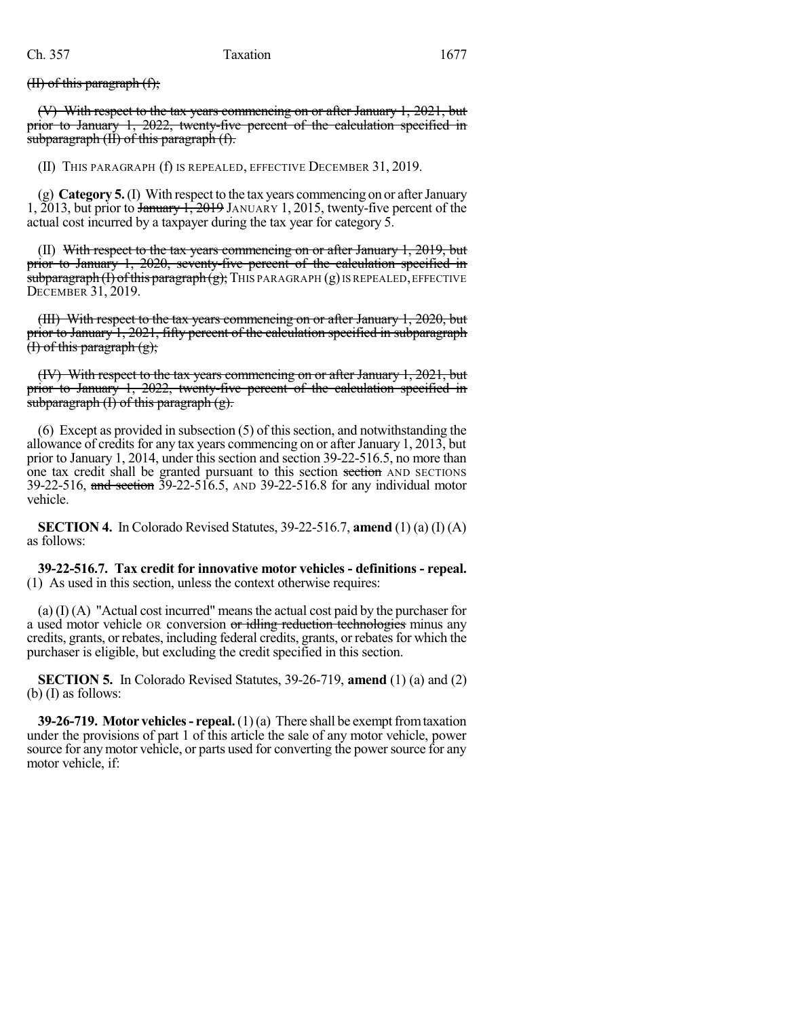(II) of this paragraph (f);

(V) With respect to the tax years commencing on or after January 1, 2021, but prior to January 1, 2022, twenty-five percent of the calculation specified in subparagraph  $(H)$  of this paragraph  $(f)$ .

(II) THIS PARAGRAPH (f) IS REPEALED, EFFECTIVE DECEMBER 31, 2019.

(g) **Category 5.**(I) With respect to the tax years commencing on or afterJanuary 1, 2013, but prior to January 1, 2019 JANUARY 1, 2015, twenty-five percent of the actual cost incurred by a taxpayer during the tax year for category 5.

 $(II)$  With respect to the tax years commencing on or after January 1, 2019, but prior to January 1, 2020, seventy-five percent of the calculation specified in subparagraph  $(I)$  of this paragraph  $(g)$ ; THIS PARAGRAPH  $(g)$  IS REPEALED, EFFECTIVE DECEMBER 31, 2019.

(III) With respect to the tax years commencing on or after January 1, 2020, but prior to January 1, 2021, fifty percent of the calculation specified in subparagraph  $(f)$  of this paragraph  $(g)$ ;

(IV) With respect to the tax years commencing on or after January 1, 2021, but prior to January 1, 2022, twenty-five percent of the calculation specified in subparagraph  $(I)$  of this paragraph  $(g)$ .

 $(6)$  Except as provided in subsection  $(5)$  of this section, and notwithstanding the allowance of credits for any tax years commencing on or after January 1, 2013, but prior to January 1, 2014, under this section and section 39-22-516.5, no more than one tax credit shall be granted pursuant to this section section AND SECTIONS 39-22-516, and section 39-22-516.5, AND 39-22-516.8 for any individual motor vehicle.

**SECTION 4.** In Colorado Revised Statutes, 39-22-516.7, **amend** (1) (a) (I) (A) as follows:

**39-22-516.7. Tax credit for innovative motor vehicles - definitions - repeal.** (1) As used in this section, unless the context otherwise requires:

 $(a)$  (I)  $(A)$  "Actual cost incurred" means the actual cost paid by the purchaser for a used motor vehicle OR conversion or idling reduction technologies minus any credits, grants, or rebates, including federal credits, grants, or rebates for which the purchaser is eligible, but excluding the credit specified in this section.

**SECTION 5.** In Colorado Revised Statutes, 39-26-719, **amend** (1) (a) and (2) (b) (I) as follows:

**39-26-719. Motor vehicles - repeal.** (1)(a) There shall be exempt from taxation under the provisions of part 1 of this article the sale of any motor vehicle, power source for any motor vehicle, or parts used for converting the power source for any motor vehicle, if: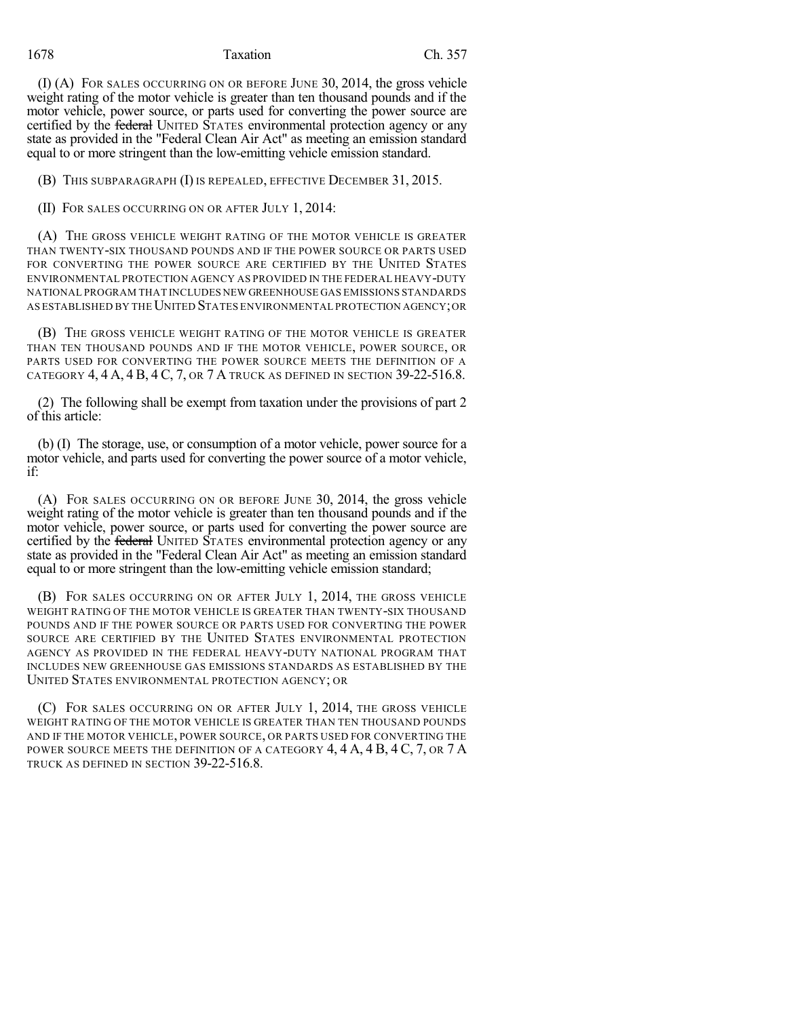#### 1678 Taxation Ch. 357

(I) (A) FOR SALES OCCURRING ON OR BEFORE JUNE 30, 2014, the gross vehicle weight rating of the motor vehicle is greater than ten thousand pounds and if the motor vehicle, power source, or parts used for converting the power source are certified by the federal UNITED STATES environmental protection agency or any state as provided in the "Federal Clean Air Act" as meeting an emission standard equal to or more stringent than the low-emitting vehicle emission standard.

(B) THIS SUBPARAGRAPH (I) IS REPEALED, EFFECTIVE DECEMBER 31, 2015.

(II) FOR SALES OCCURRING ON OR AFTER JULY 1, 2014:

(A) THE GROSS VEHICLE WEIGHT RATING OF THE MOTOR VEHICLE IS GREATER THAN TWENTY-SIX THOUSAND POUNDS AND IF THE POWER SOURCE OR PARTS USED FOR CONVERTING THE POWER SOURCE ARE CERTIFIED BY THE UNITED STATES ENVIRONMENTAL PROTECTION AGENCY AS PROVIDED IN THE FEDERAL HEAVY-DUTY NATIONAL PROGRAM THAT INCLUDES NEW GREENHOUSE GAS EMISSIONS STANDARDS AS ESTABLISHED BY THE UNITED STATES ENVIRONMENTAL PROTECTION AGENCY; OR

(B) THE GROSS VEHICLE WEIGHT RATING OF THE MOTOR VEHICLE IS GREATER THAN TEN THOUSAND POUNDS AND IF THE MOTOR VEHICLE, POWER SOURCE, OR PARTS USED FOR CONVERTING THE POWER SOURCE MEETS THE DEFINITION OF A CATEGORY 4, 4 A, 4 B, 4 C, 7, OR 7 A TRUCK AS DEFINED IN SECTION 39-22-516.8.

(2) The following shall be exempt from taxation under the provisions of part 2 of this article:

(b) (I) The storage, use, or consumption of a motor vehicle, power source for a motor vehicle, and parts used for converting the power source of a motor vehicle, if:

(A) FOR SALES OCCURRING ON OR BEFORE JUNE 30, 2014, the gross vehicle weight rating of the motor vehicle is greater than ten thousand pounds and if the motor vehicle, power source, or parts used for converting the power source are certified by the federal UNITED STATES environmental protection agency or any state as provided in the "Federal Clean Air Act" as meeting an emission standard equal to or more stringent than the low-emitting vehicle emission standard;

(B) FOR SALES OCCURRING ON OR AFTER JULY 1, 2014, THE GROSS VEHICLE WEIGHT RATING OF THE MOTOR VEHICLE IS GREATER THAN TWENTY-SIX THOUSAND POUNDS AND IF THE POWER SOURCE OR PARTS USED FOR CONVERTING THE POWER SOURCE ARE CERTIFIED BY THE UNITED STATES ENVIRONMENTAL PROTECTION AGENCY AS PROVIDED IN THE FEDERAL HEAVY-DUTY NATIONAL PROGRAM THAT INCLUDES NEW GREENHOUSE GAS EMISSIONS STANDARDS AS ESTABLISHED BY THE UNITED STATES ENVIRONMENTAL PROTECTION AGENCY; OR

(C) FOR SALES OCCURRING ON OR AFTER JULY 1, 2014, THE GROSS VEHICLE WEIGHT RATING OF THE MOTOR VEHICLE IS GREATER THAN TEN THOUSAND POUNDS AND IF THE MOTOR VEHICLE, POWER SOURCE, OR PARTS USED FOR CONVERTING THE POWER SOURCE MEETS THE DEFINITION OF A CATEGORY 4, 4 A, 4 B, 4 C, 7, OR 7 A TRUCK AS DEFINED IN SECTION 39-22-516.8.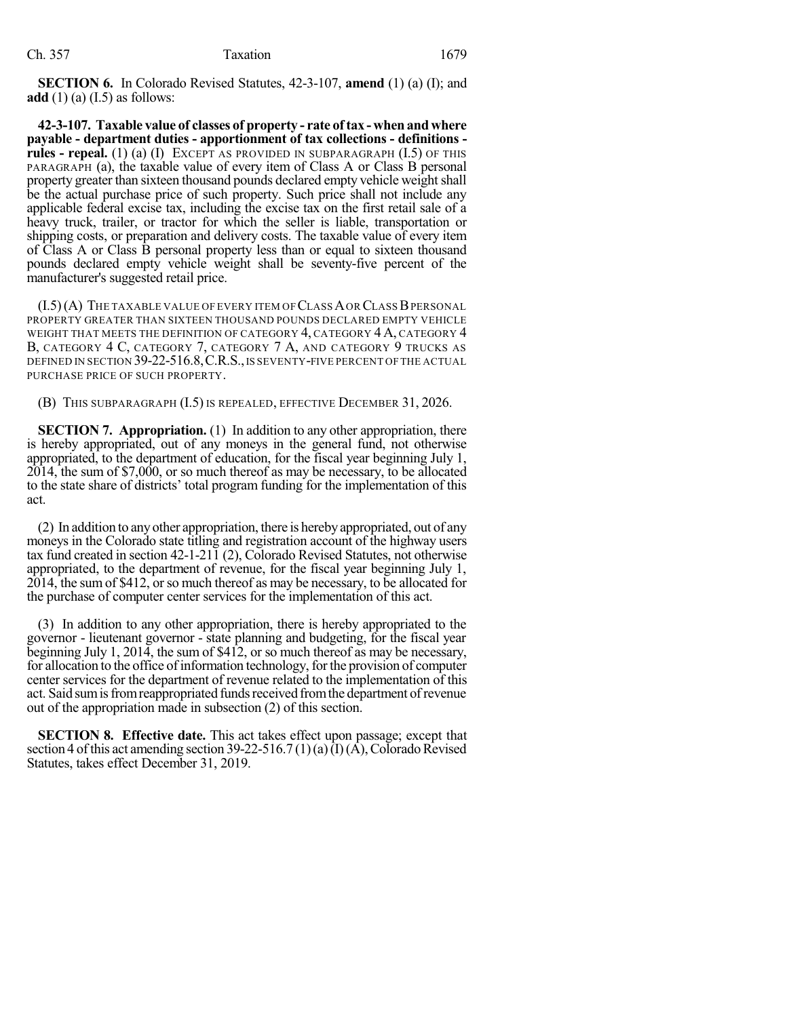**SECTION 6.** In Colorado Revised Statutes, 42-3-107, **amend** (1) (a) (I); and **add** (1) (a) (I.5) as follows:

**42-3-107. Taxable value of classes of property - rate oftax - whenandwhere payable - department duties - apportionment of tax collections - definitions rules - repeal.** (1) (a) (I) EXCEPT AS PROVIDED IN SUBPARAGRAPH (I.5) OF THIS PARAGRAPH (a), the taxable value of every item of Class A or Class B personal property greater than sixteen thousand pounds declared empty vehicle weight shall be the actual purchase price of such property. Such price shall not include any applicable federal excise tax, including the excise tax on the first retail sale of a heavy truck, trailer, or tractor for which the seller is liable, transportation or shipping costs, or preparation and delivery costs. The taxable value of every item of Class A or Class B personal property less than or equal to sixteen thousand pounds declared empty vehicle weight shall be seventy-five percent of the manufacturer's suggested retail price.

 $(I.5)(A)$  The taxable value of every item of Class A or Class B personal PROPERTY GREATER THAN SIXTEEN THOUSAND POUNDS DECLARED EMPTY VEHICLE WEIGHT THAT MEETS THE DEFINITION OF CATEGORY 4, CATEGORY 4 A, CATEGORY 4 B, CATEGORY 4 C, CATEGORY 7, CATEGORY 7 A, AND CATEGORY 9 TRUCKS AS DEFINED IN SECTION 39-22-516.8, C.R.S., IS SEVENTY-FIVE PERCENT OF THE ACTUAL PURCHASE PRICE OF SUCH PROPERTY.

(B) THIS SUBPARAGRAPH (I.5) IS REPEALED, EFFECTIVE DECEMBER 31, 2026.

**SECTION 7. Appropriation.** (1) In addition to any other appropriation, there is hereby appropriated, out of any moneys in the general fund, not otherwise appropriated, to the department of education, for the fiscal year beginning July 1, 2014, the sum of \$7,000, or so much thereof as may be necessary, to be allocated to the state share of districts' total program funding for the implementation of this act.

(2) In addition to anyother appropriation, there is herebyappropriated, out of any moneys in the Colorado state titling and registration account of the highway users tax fund created in section 42-1-211 (2), Colorado Revised Statutes, not otherwise appropriated, to the department of revenue, for the fiscal year beginning July 1, 2014, the sum of \$412, orso much thereof as may be necessary, to be allocated for the purchase of computer center services for the implementation of this act.

(3) In addition to any other appropriation, there is hereby appropriated to the governor - lieutenant governor - state planning and budgeting, for the fiscal year beginning July 1, 2014, the sum of \$412, or so much thereof as may be necessary, for allocation to the office of information technology, for the provision of computer center services for the department of revenue related to the implementation of this act. Said sum is from reappropriated funds received from the department of revenue out of the appropriation made in subsection (2) of this section.

**SECTION 8. Effective date.** This act takes effect upon passage; except that section 4 of this act amending section 39-22-516.7 (1)(a)(I)(A), Colorado Revised Statutes, takes effect December 31, 2019.